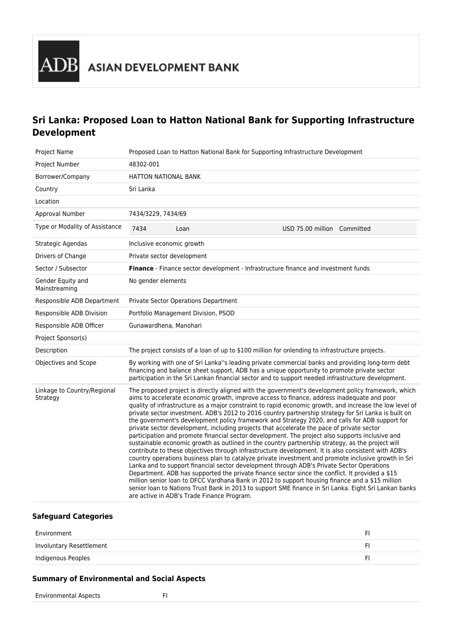## **Sri Lanka: Proposed Loan to Hatton National Bank for Supporting Infrastructure Development**

| Project Name                            | Proposed Loan to Hatton National Bank for Supporting Infrastructure Development    |                                                                                                                                                                                                                                      |  |                             |                                                                                                                                                                                                                                                                                                                                                                                                                                                                                                                                                                                                                                                                                                                                                                                                                                                                                                                                                                                                                                                                                                                                                                                                                                                           |
|-----------------------------------------|------------------------------------------------------------------------------------|--------------------------------------------------------------------------------------------------------------------------------------------------------------------------------------------------------------------------------------|--|-----------------------------|-----------------------------------------------------------------------------------------------------------------------------------------------------------------------------------------------------------------------------------------------------------------------------------------------------------------------------------------------------------------------------------------------------------------------------------------------------------------------------------------------------------------------------------------------------------------------------------------------------------------------------------------------------------------------------------------------------------------------------------------------------------------------------------------------------------------------------------------------------------------------------------------------------------------------------------------------------------------------------------------------------------------------------------------------------------------------------------------------------------------------------------------------------------------------------------------------------------------------------------------------------------|
| Project Number                          | 48302-001                                                                          |                                                                                                                                                                                                                                      |  |                             |                                                                                                                                                                                                                                                                                                                                                                                                                                                                                                                                                                                                                                                                                                                                                                                                                                                                                                                                                                                                                                                                                                                                                                                                                                                           |
| Borrower/Company                        | <b>HATTON NATIONAL BANK</b>                                                        |                                                                                                                                                                                                                                      |  |                             |                                                                                                                                                                                                                                                                                                                                                                                                                                                                                                                                                                                                                                                                                                                                                                                                                                                                                                                                                                                                                                                                                                                                                                                                                                                           |
| Country                                 | Sri Lanka                                                                          |                                                                                                                                                                                                                                      |  |                             |                                                                                                                                                                                                                                                                                                                                                                                                                                                                                                                                                                                                                                                                                                                                                                                                                                                                                                                                                                                                                                                                                                                                                                                                                                                           |
| Location                                |                                                                                    |                                                                                                                                                                                                                                      |  |                             |                                                                                                                                                                                                                                                                                                                                                                                                                                                                                                                                                                                                                                                                                                                                                                                                                                                                                                                                                                                                                                                                                                                                                                                                                                                           |
| Approval Number                         | 7434/3229, 7434/69                                                                 |                                                                                                                                                                                                                                      |  |                             |                                                                                                                                                                                                                                                                                                                                                                                                                                                                                                                                                                                                                                                                                                                                                                                                                                                                                                                                                                                                                                                                                                                                                                                                                                                           |
| Type or Modality of Assistance          | 7434                                                                               | Loan                                                                                                                                                                                                                                 |  | USD 75.00 million Committed |                                                                                                                                                                                                                                                                                                                                                                                                                                                                                                                                                                                                                                                                                                                                                                                                                                                                                                                                                                                                                                                                                                                                                                                                                                                           |
| Strategic Agendas                       | Inclusive economic growth                                                          |                                                                                                                                                                                                                                      |  |                             |                                                                                                                                                                                                                                                                                                                                                                                                                                                                                                                                                                                                                                                                                                                                                                                                                                                                                                                                                                                                                                                                                                                                                                                                                                                           |
| Drivers of Change                       | Private sector development                                                         |                                                                                                                                                                                                                                      |  |                             |                                                                                                                                                                                                                                                                                                                                                                                                                                                                                                                                                                                                                                                                                                                                                                                                                                                                                                                                                                                                                                                                                                                                                                                                                                                           |
| Sector / Subsector                      | Finance - Finance sector development - Infrastructure finance and investment funds |                                                                                                                                                                                                                                      |  |                             |                                                                                                                                                                                                                                                                                                                                                                                                                                                                                                                                                                                                                                                                                                                                                                                                                                                                                                                                                                                                                                                                                                                                                                                                                                                           |
| Gender Equity and<br>Mainstreaming      | No gender elements                                                                 |                                                                                                                                                                                                                                      |  |                             |                                                                                                                                                                                                                                                                                                                                                                                                                                                                                                                                                                                                                                                                                                                                                                                                                                                                                                                                                                                                                                                                                                                                                                                                                                                           |
| Responsible ADB Department              | Private Sector Operations Department                                               |                                                                                                                                                                                                                                      |  |                             |                                                                                                                                                                                                                                                                                                                                                                                                                                                                                                                                                                                                                                                                                                                                                                                                                                                                                                                                                                                                                                                                                                                                                                                                                                                           |
| Responsible ADB Division                | Portfolio Management Division, PSOD                                                |                                                                                                                                                                                                                                      |  |                             |                                                                                                                                                                                                                                                                                                                                                                                                                                                                                                                                                                                                                                                                                                                                                                                                                                                                                                                                                                                                                                                                                                                                                                                                                                                           |
| Responsible ADB Officer                 | Gunawardhena, Manohari                                                             |                                                                                                                                                                                                                                      |  |                             |                                                                                                                                                                                                                                                                                                                                                                                                                                                                                                                                                                                                                                                                                                                                                                                                                                                                                                                                                                                                                                                                                                                                                                                                                                                           |
| Project Sponsor(s)                      |                                                                                    |                                                                                                                                                                                                                                      |  |                             |                                                                                                                                                                                                                                                                                                                                                                                                                                                                                                                                                                                                                                                                                                                                                                                                                                                                                                                                                                                                                                                                                                                                                                                                                                                           |
| Description                             |                                                                                    | The project consists of a loan of up to \$100 million for onlending to infrastructure projects.                                                                                                                                      |  |                             |                                                                                                                                                                                                                                                                                                                                                                                                                                                                                                                                                                                                                                                                                                                                                                                                                                                                                                                                                                                                                                                                                                                                                                                                                                                           |
| Objectives and Scope                    |                                                                                    |                                                                                                                                                                                                                                      |  |                             | By working with one of Sri Lanka"s leading private commercial banks and providing long-term debt<br>financing and balance sheet support, ADB has a unique opportunity to promote private sector<br>participation in the Sri Lankan financial sector and to support needed infrastructure development.                                                                                                                                                                                                                                                                                                                                                                                                                                                                                                                                                                                                                                                                                                                                                                                                                                                                                                                                                     |
| Linkage to Country/Regional<br>Strategy |                                                                                    | private sector development, including projects that accelerate the pace of private sector<br>Lanka and to support financial sector development through ADB's Private Sector Operations<br>are active in ADB's Trade Finance Program. |  |                             | The proposed project is directly aligned with the government's development policy framework, which<br>aims to accelerate economic growth, improve access to finance, address inadequate and poor<br>quality of infrastructure as a major constraint to rapid economic growth, and increase the low level of<br>private sector investment. ADB's 2012 to 2016 country partnership strategy for Sri Lanka is built on<br>the government's development policy framework and Strategy 2020, and calls for ADB support for<br>participation and promote financial sector development. The project also supports inclusive and<br>sustainable economic growth as outlined in the country partnership strategy, as the project will<br>contribute to these objectives through infrastructure development. It is also consistent with ADB's<br>country operations business plan to catalyze private investment and promote inclusive growth in Sri<br>Department. ADB has supported the private finance sector since the conflict. It provided a \$15<br>million senior loan to DFCC Vardhana Bank in 2012 to support housing finance and a \$15 million<br>senior loan to Nations Trust Bank in 2013 to support SME finance in Sri Lanka. Eight Sri Lankan banks |

## **Safeguard Categories**

| Environment              |  |
|--------------------------|--|
| Involuntary Resettlement |  |
| Indigenous Peoples       |  |

## **Summary of Environmental and Social Aspects**